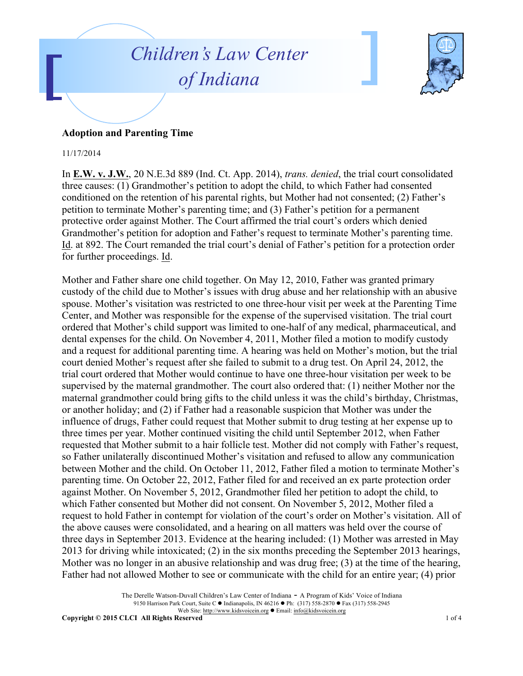



## **Adoption and Parenting Time**

## 11/17/2014

In **E.W. v. J.W.**, 20 N.E.3d 889 (Ind. Ct. App. 2014), *trans. denied*, the trial court consolidated three causes: (1) Grandmother's petition to adopt the child, to which Father had consented conditioned on the retention of his parental rights, but Mother had not consented; (2) Father's petition to terminate Mother's parenting time; and (3) Father's petition for a permanent protective order against Mother. The Court affirmed the trial court's orders which denied Grandmother's petition for adoption and Father's request to terminate Mother's parenting time. Id. at 892. The Court remanded the trial court's denial of Father's petition for a protection order for further proceedings. Id.

Mother and Father share one child together. On May 12, 2010, Father was granted primary custody of the child due to Mother's issues with drug abuse and her relationship with an abusive spouse. Mother's visitation was restricted to one three-hour visit per week at the Parenting Time Center, and Mother was responsible for the expense of the supervised visitation. The trial court ordered that Mother's child support was limited to one-half of any medical, pharmaceutical, and dental expenses for the child. On November 4, 2011, Mother filed a motion to modify custody and a request for additional parenting time. A hearing was held on Mother's motion, but the trial court denied Mother's request after she failed to submit to a drug test. On April 24, 2012, the trial court ordered that Mother would continue to have one three-hour visitation per week to be supervised by the maternal grandmother. The court also ordered that: (1) neither Mother nor the maternal grandmother could bring gifts to the child unless it was the child's birthday, Christmas, or another holiday; and (2) if Father had a reasonable suspicion that Mother was under the influence of drugs, Father could request that Mother submit to drug testing at her expense up to three times per year. Mother continued visiting the child until September 2012, when Father requested that Mother submit to a hair follicle test. Mother did not comply with Father's request, so Father unilaterally discontinued Mother's visitation and refused to allow any communication between Mother and the child. On October 11, 2012, Father filed a motion to terminate Mother's parenting time. On October 22, 2012, Father filed for and received an ex parte protection order against Mother. On November 5, 2012, Grandmother filed her petition to adopt the child, to which Father consented but Mother did not consent. On November 5, 2012, Mother filed a request to hold Father in contempt for violation of the court's order on Mother's visitation. All of the above causes were consolidated, and a hearing on all matters was held over the course of three days in September 2013. Evidence at the hearing included: (1) Mother was arrested in May 2013 for driving while intoxicated; (2) in the six months preceding the September 2013 hearings, Mother was no longer in an abusive relationship and was drug free; (3) at the time of the hearing, Father had not allowed Mother to see or communicate with the child for an entire year; (4) prior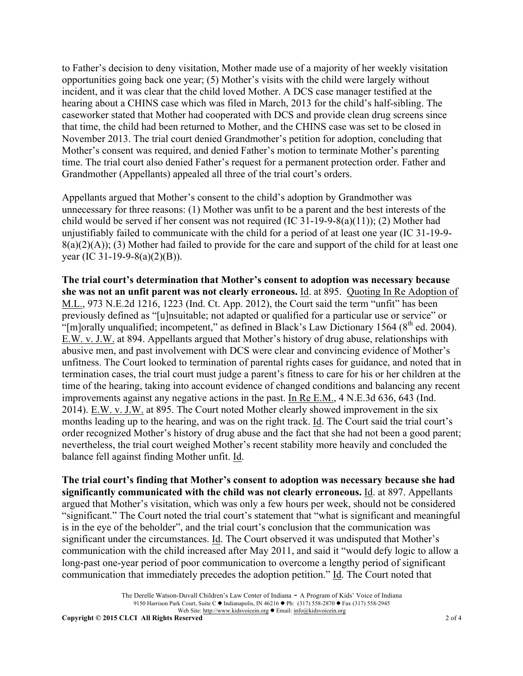to Father's decision to deny visitation, Mother made use of a majority of her weekly visitation opportunities going back one year; (5) Mother's visits with the child were largely without incident, and it was clear that the child loved Mother. A DCS case manager testified at the hearing about a CHINS case which was filed in March, 2013 for the child's half-sibling. The caseworker stated that Mother had cooperated with DCS and provide clean drug screens since that time, the child had been returned to Mother, and the CHINS case was set to be closed in November 2013. The trial court denied Grandmother's petition for adoption, concluding that Mother's consent was required, and denied Father's motion to terminate Mother's parenting time. The trial court also denied Father's request for a permanent protection order. Father and Grandmother (Appellants) appealed all three of the trial court's orders.

Appellants argued that Mother's consent to the child's adoption by Grandmother was unnecessary for three reasons: (1) Mother was unfit to be a parent and the best interests of the child would be served if her consent was not required (IC 31-19-9-8(a)(11)); (2) Mother had unjustifiably failed to communicate with the child for a period of at least one year (IC 31-19-9-  $8(a)(2)(A)$ ; (3) Mother had failed to provide for the care and support of the child for at least one year (IC 31-19-9-8(a)(2)(B)).

**The trial court's determination that Mother's consent to adoption was necessary because she was not an unfit parent was not clearly erroneous.** Id. at 895. Quoting In Re Adoption of M.L., 973 N.E.2d 1216, 1223 (Ind. Ct. App. 2012), the Court said the term "unfit" has been previously defined as "[u]nsuitable; not adapted or qualified for a particular use or service" or "[m]orally unqualified; incompetent," as defined in Black's Law Dictionary 1564 ( $8<sup>th</sup>$  ed. 2004). E.W. v. J.W. at 894. Appellants argued that Mother's history of drug abuse, relationships with abusive men, and past involvement with DCS were clear and convincing evidence of Mother's unfitness. The Court looked to termination of parental rights cases for guidance, and noted that in termination cases, the trial court must judge a parent's fitness to care for his or her children at the time of the hearing, taking into account evidence of changed conditions and balancing any recent improvements against any negative actions in the past. In Re E.M., 4 N.E.3d 636, 643 (Ind. 2014). E.W. v. J.W. at 895. The Court noted Mother clearly showed improvement in the six months leading up to the hearing, and was on the right track. Id. The Court said the trial court's order recognized Mother's history of drug abuse and the fact that she had not been a good parent; nevertheless, the trial court weighed Mother's recent stability more heavily and concluded the balance fell against finding Mother unfit. Id.

**The trial court's finding that Mother's consent to adoption was necessary because she had significantly communicated with the child was not clearly erroneous.** Id. at 897. Appellants argued that Mother's visitation, which was only a few hours per week, should not be considered "significant." The Court noted the trial court's statement that "what is significant and meaningful is in the eye of the beholder", and the trial court's conclusion that the communication was significant under the circumstances. Id. The Court observed it was undisputed that Mother's communication with the child increased after May 2011, and said it "would defy logic to allow a long-past one-year period of poor communication to overcome a lengthy period of significant communication that immediately precedes the adoption petition." Id. The Court noted that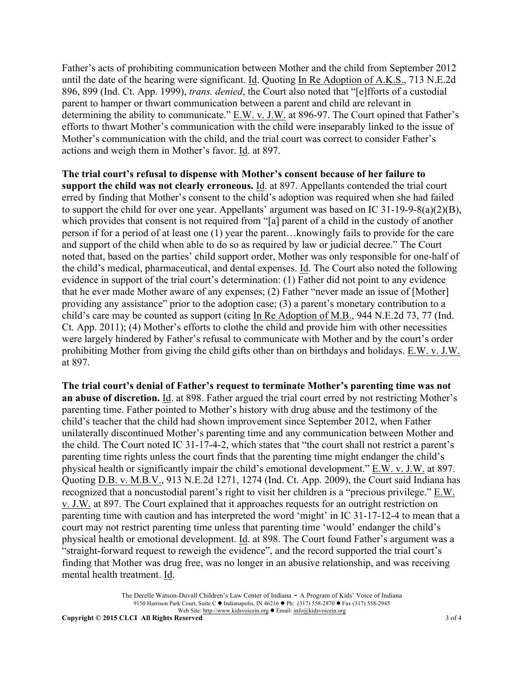Father's acts of prohibiting communication between Mother and the child from September 2012 until the date of the hearing were significant. Id. Quoting In Re Adoption of A.K.S., 713 N.E.2d 896, 899 (Ind. Ct. App. 1999), *trans. denied*, the Court also noted that "[e]fforts of a custodial parent to hamper or thwart communication between a parent and child are relevant in determining the ability to communicate." E.W. v. J.W. at 896-97. The Court opined that Father's efforts to thwart Mother's communication with the child were inseparably linked to the issue of Mother's communication with the child, and the trial court was correct to consider Father's actions and weigh them in Mother's favor. Id. at 897.

**The trial court's refusal to dispense with Mother's consent because of her failure to support the child was not clearly erroneous.** Id. at 897. Appellants contended the trial court erred by finding that Mother's consent to the child's adoption was required when she had failed to support the child for over one year. Appellants' argument was based on IC 31-19-9-8(a)(2)(B), which provides that consent is not required from "[a] parent of a child in the custody of another person if for a period of at least one (1) year the parent…knowingly fails to provide for the care and support of the child when able to do so as required by law or judicial decree." The Court noted that, based on the parties' child support order, Mother was only responsible for one-half of the child's medical, pharmaceutical, and dental expenses. Id. The Court also noted the following evidence in support of the trial court's determination: (1) Father did not point to any evidence that he ever made Mother aware of any expenses; (2) Father "never made an issue of [Mother] providing any assistance" prior to the adoption case; (3) a parent's monetary contribution to a child's care may be counted as support (citing In Re Adoption of M.B., 944 N.E.2d 73, 77 (Ind. Ct. App. 2011); (4) Mother's efforts to clothe the child and provide him with other necessities were largely hindered by Father's refusal to communicate with Mother and by the court's order prohibiting Mother from giving the child gifts other than on birthdays and holidays. E.W. v. J.W. at 897.

**The trial court's denial of Father's request to terminate Mother's parenting time was not an abuse of discretion.** Id. at 898. Father argued the trial court erred by not restricting Mother's parenting time. Father pointed to Mother's history with drug abuse and the testimony of the child's teacher that the child had shown improvement since September 2012, when Father unilaterally discontinued Mother's parenting time and any communication between Mother and the child. The Court noted IC 31-17-4-2, which states that "the court shall not restrict a parent's parenting time rights unless the court finds that the parenting time might endanger the child's physical health or significantly impair the child's emotional development." E.W. v. J.W. at 897. Quoting D.B. v. M.B.V., 913 N.E.2d 1271, 1274 (Ind. Ct. App. 2009), the Court said Indiana has recognized that a noncustodial parent's right to visit her children is a "precious privilege." E.W. v. J.W. at 897. The Court explained that it approaches requests for an outright restriction on parenting time with caution and has interpreted the word 'might' in IC 31-17-12-4 to mean that a court may not restrict parenting time unless that parenting time 'would' endanger the child's physical health or emotional development. Id. at 898. The Court found Father's argument was a "straight-forward request to reweigh the evidence", and the record supported the trial court's finding that Mother was drug free, was no longer in an abusive relationship, and was receiving mental health treatment. Id.

> The Derelle Watson-Duvall Children's Law Center of Indiana - A Program of Kids' Voice of Indiana 9150 Harrison Park Court, Suite C  $\bullet$  Indianapolis, IN 46216  $\bullet$  Ph: (317) 558-2870  $\bullet$  Fax (317) 558-2945 Web Site: http://www.kidsvoicein.org <br>• Email: info@kidsvoicein.org